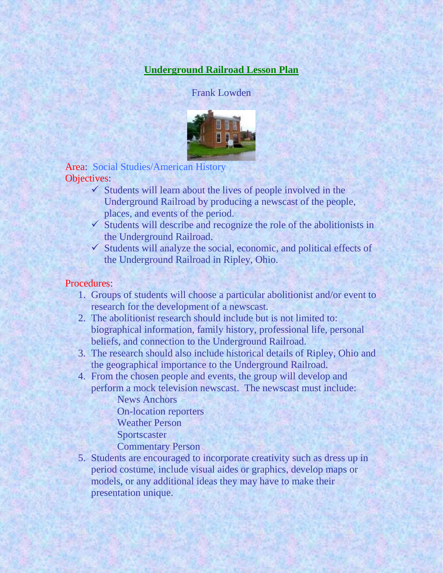## **Underground Railroad Lesson Plan**

Frank Lowden



Area: Social Studies/American History Objectives:

- $\checkmark$  Students will learn about the lives of people involved in the Underground Railroad by producing a newscast of the people, places, and events of the period.
- $\checkmark$  Students will describe and recognize the role of the abolitionists in the Underground Railroad.
- $\checkmark$  Students will analyze the social, economic, and political effects of the Underground Railroad in Ripley, Ohio.

## Procedures:

- 1. Groups of students will choose a particular abolitionist and/or event to research for the development of a newscast.
- 2. The abolitionist research should include but is not limited to: biographical information, family history, professional life, personal beliefs, and connection to the Underground Railroad.
- 3. The research should also include historical details of Ripley, Ohio and the geographical importance to the Underground Railroad.
- 4. From the chosen people and events, the group will develop and perform a mock television newscast. The newscast must include:
	- News Anchors On-location reporters Weather Person Sportscaster Commentary Person
- 5. Students are encouraged to incorporate creativity such as dress up in period costume, include visual aides or graphics, develop maps or models, or any additional ideas they may have to make their presentation unique.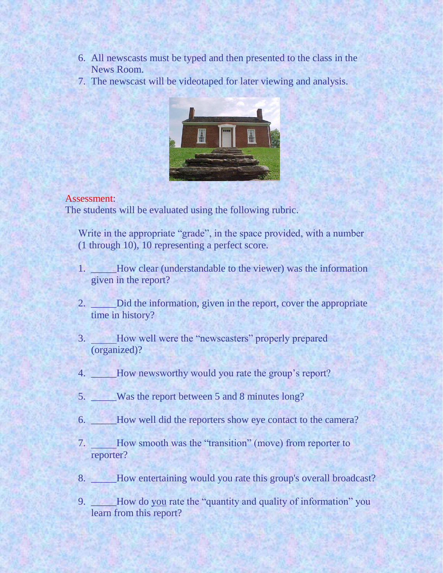- 6. All newscasts must be typed and then presented to the class in the News Room.
- 7. The newscast will be videotaped for later viewing and analysis.



## Assessment:

The students will be evaluated using the following rubric.

Write in the appropriate "grade", in the space provided, with a number (1 through 10), 10 representing a perfect score.

- 1. \_\_\_\_\_How clear (understandable to the viewer) was the information given in the report?
- 2. \_\_\_\_\_Did the information, given in the report, cover the appropriate time in history?
- 3. How well were the "newscasters" properly prepared (organized)?
- 4. \_\_\_\_\_\_How newsworthy would you rate the group's report?
- 5. \_\_\_\_\_Was the report between 5 and 8 minutes long?
- 6. \_\_\_\_\_How well did the reporters show eye contact to the camera?
- 7. \_\_\_\_\_How smooth was the "transition" (move) from reporter to reporter?
- 8. \_\_\_\_\_How entertaining would you rate this group's overall broadcast?
- 9. \_\_\_\_\_How do you rate the "quantity and quality of information" you learn from this report?